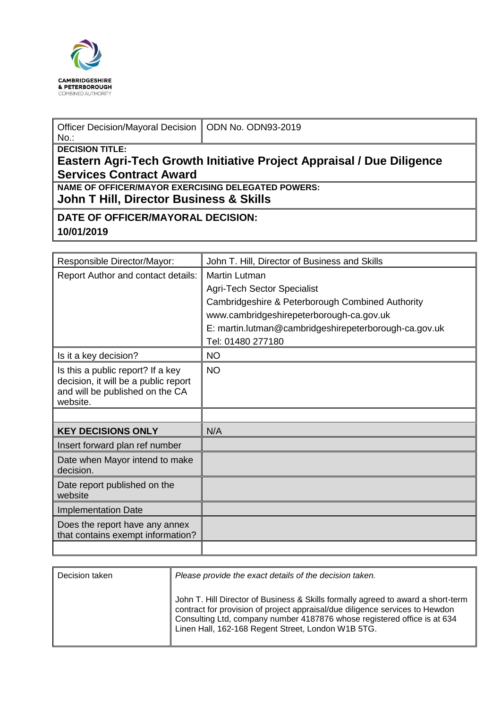

| Officer Decision/Mayoral Decision   ODN No. ODN93-2019<br>$No.$ :     |  |  |  |  |  |
|-----------------------------------------------------------------------|--|--|--|--|--|
| <b>DECISION TITLE:</b>                                                |  |  |  |  |  |
| Eastern Agri-Tech Growth Initiative Project Appraisal / Due Diligence |  |  |  |  |  |
| <b>Services Contract Award</b>                                        |  |  |  |  |  |
| <b>NAME OF OFFICER/MAYOR EXERCISING DELEGATED POWERS:</b>             |  |  |  |  |  |
| John T Hill, Director Business & Skills                               |  |  |  |  |  |
| DATE OF OFFICER/MAYORAL DECISION:                                     |  |  |  |  |  |
| 10/01/2019                                                            |  |  |  |  |  |

| Responsible Director/Mayor:                                                                                              | John T. Hill, Director of Business and Skills         |
|--------------------------------------------------------------------------------------------------------------------------|-------------------------------------------------------|
| Report Author and contact details:                                                                                       | <b>Martin Lutman</b>                                  |
|                                                                                                                          | <b>Agri-Tech Sector Specialist</b>                    |
|                                                                                                                          | Cambridgeshire & Peterborough Combined Authority      |
|                                                                                                                          | www.cambridgeshirepeterborough-ca.gov.uk              |
|                                                                                                                          | E: martin.lutman@cambridgeshirepeterborough-ca.gov.uk |
|                                                                                                                          | Tel: 01480 277180                                     |
| Is it a key decision?                                                                                                    | <b>NO</b>                                             |
| Is this a public report? If a key<br>decision, it will be a public report<br>and will be published on the CA<br>website. | <b>NO</b>                                             |
|                                                                                                                          |                                                       |
| <b>KEY DECISIONS ONLY</b>                                                                                                | N/A                                                   |
| Insert forward plan ref number                                                                                           |                                                       |
| Date when Mayor intend to make<br>decision.                                                                              |                                                       |
| Date report published on the<br>website                                                                                  |                                                       |
| <b>Implementation Date</b>                                                                                               |                                                       |
| Does the report have any annex<br>that contains exempt information?                                                      |                                                       |
|                                                                                                                          |                                                       |

| Decision taken | Please provide the exact details of the decision taken.                                                                                                                                                                                                                                            |  |  |
|----------------|----------------------------------------------------------------------------------------------------------------------------------------------------------------------------------------------------------------------------------------------------------------------------------------------------|--|--|
|                | John T. Hill Director of Business & Skills formally agreed to award a short-term<br>contract for provision of project appraisal/due diligence services to Hewdon<br>Consulting Ltd, company number 4187876 whose registered office is at 634<br>Linen Hall, 162-168 Regent Street, London W1B 5TG. |  |  |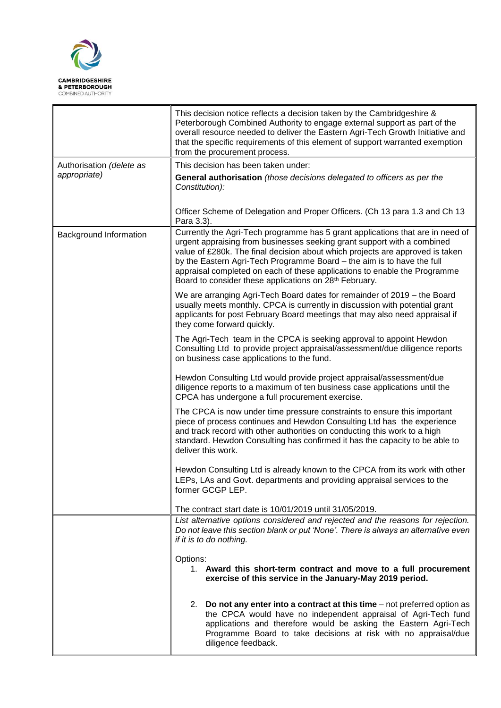

|                          | This decision notice reflects a decision taken by the Cambridgeshire &<br>Peterborough Combined Authority to engage external support as part of the<br>overall resource needed to deliver the Eastern Agri-Tech Growth Initiative and<br>that the specific requirements of this element of support warranted exemption<br>from the procurement process.                                                                                                                 |  |  |
|--------------------------|-------------------------------------------------------------------------------------------------------------------------------------------------------------------------------------------------------------------------------------------------------------------------------------------------------------------------------------------------------------------------------------------------------------------------------------------------------------------------|--|--|
| Authorisation (delete as | This decision has been taken under:                                                                                                                                                                                                                                                                                                                                                                                                                                     |  |  |
| appropriate)             | General authorisation (those decisions delegated to officers as per the<br>Constitution):                                                                                                                                                                                                                                                                                                                                                                               |  |  |
|                          | Officer Scheme of Delegation and Proper Officers. (Ch 13 para 1.3 and Ch 13<br>Para 3.3).                                                                                                                                                                                                                                                                                                                                                                               |  |  |
| Background Information   | Currently the Agri-Tech programme has 5 grant applications that are in need of<br>urgent appraising from businesses seeking grant support with a combined<br>value of £280k. The final decision about which projects are approved is taken<br>by the Eastern Agri-Tech Programme Board - the aim is to have the full<br>appraisal completed on each of these applications to enable the Programme<br>Board to consider these applications on 28 <sup>th</sup> February. |  |  |
|                          | We are arranging Agri-Tech Board dates for remainder of 2019 – the Board<br>usually meets monthly. CPCA is currently in discussion with potential grant<br>applicants for post February Board meetings that may also need appraisal if<br>they come forward quickly.                                                                                                                                                                                                    |  |  |
|                          | The Agri-Tech team in the CPCA is seeking approval to appoint Hewdon<br>Consulting Ltd to provide project appraisal/assessment/due diligence reports<br>on business case applications to the fund.                                                                                                                                                                                                                                                                      |  |  |
|                          | Hewdon Consulting Ltd would provide project appraisal/assessment/due<br>diligence reports to a maximum of ten business case applications until the<br>CPCA has undergone a full procurement exercise.                                                                                                                                                                                                                                                                   |  |  |
|                          | The CPCA is now under time pressure constraints to ensure this important<br>piece of process continues and Hewdon Consulting Ltd has the experience<br>and track record with other authorities on conducting this work to a high<br>standard. Hewdon Consulting has confirmed it has the capacity to be able to<br>deliver this work.                                                                                                                                   |  |  |
|                          | Hewdon Consulting Ltd is already known to the CPCA from its work with other<br>LEPs, LAs and Govt. departments and providing appraisal services to the<br>former GCGP LEP.                                                                                                                                                                                                                                                                                              |  |  |
|                          | The contract start date is 10/01/2019 until 31/05/2019.                                                                                                                                                                                                                                                                                                                                                                                                                 |  |  |
|                          | List alternative options considered and rejected and the reasons for rejection.<br>Do not leave this section blank or put 'None'. There is always an alternative even<br>if it is to do nothing.                                                                                                                                                                                                                                                                        |  |  |
|                          | Options:<br>1. Award this short-term contract and move to a full procurement<br>exercise of this service in the January-May 2019 period.                                                                                                                                                                                                                                                                                                                                |  |  |
|                          | 2. Do not any enter into a contract at this time - not preferred option as<br>the CPCA would have no independent appraisal of Agri-Tech fund<br>applications and therefore would be asking the Eastern Agri-Tech<br>Programme Board to take decisions at risk with no appraisal/due<br>diligence feedback.                                                                                                                                                              |  |  |